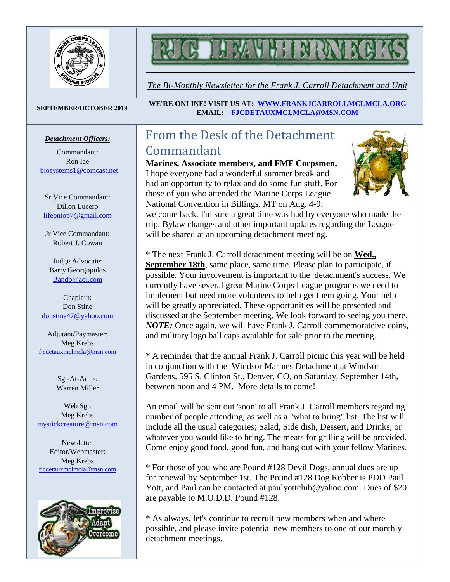

# $\mathbf{M}$

*The Bi-Monthly Newsletter for the Frank J. Carroll Detachment and Unit*

#### *Detachment Officers:*

Commandant: Ron Ice [biosystems1@comcast.net](mailto:biosystems1@comcast.net)

Sr Vice Commandant: Dillon Lucero [lifeontop7@gmail.com](mailto:lifeontop7@gmail.com)

Jr Vice Commandant: Robert J. Cowan

Judge Advocate: Barry Georgopulos [Bandb@aol.com](mailto:Bandb@aol.com)

Chaplain: Don Stine [donstine47@yahoo.com](mailto:donstine47@yahoo.com)

Adjutant/Paymaster: Meg Krebs [fjcdetauxmclmcla@msn.com](mailto:fjcdetauxmclmcla@msn.com)

> Sgt-At-Arms: Warren Miller

Web Sgt: Meg Krebs [mystickcreature@msn.com](mailto:mystickcreature@msn.com)

**Newsletter** Editor/Webmaster: Meg Krebs [fjcdetauxmclmcla@msn.com](mailto:fjcdetauxmclmcla@msn.com)



**SEPTEMBER/OCTOBER <sup>2019</sup> WE'RE ONLINE! VISIT US AT: [WWW.FRANKJCARROLLMCLMCLA.ORG](http://www.frankjcarrollmclmcla.org/) EMAIL: [FJCDETAUXMCLMCLA@MSN.COM](mailto:fjcdetauxmclmcla@msn.com)** 

# From the Desk of the Detachment Commandant

**Marines, Associate members, and FMF Corpsmen,** I hope everyone had a wonderful summer break and had an opportunity to relax and do some fun stuff. For those of you who attended the Marine Corps League National Convention in Billings, MT on Aug. 4-9,



welcome back. I'm sure a great time was had by everyone who made the trip. Bylaw changes and other important updates regarding the League will be shared at an upcoming detachment meeting.

\* The next Frank J. Carroll detachment meeting will be on **Wed., September 18th**, same place, same time. Please plan to participate, if possible. Your involvement is important to the detachment's success. We currently have several great Marine Corps League programs we need to implement but need more volunteers to help get them going. Your help will be greatly appreciated. These opportunities will be presented and discussed at the September meeting. We look forward to seeing you there. *NOTE:* Once again, we will have Frank J. Carroll commemorateive coins, and military logo ball caps available for sale prior to the meeting.

\* A reminder that the annual Frank J. Carroll picnic this year will be held in conjunction with the Windsor Marines Detachment at Windsor Gardens, 595 S. Clinton St., Denver, CO, on Saturday, September 14th, between noon and 4 PM. More details to come!

An email will be sent out 'soon' to all Frank J. Carroll members regarding number of people attending, as well as a "what to bring" list. The list will include all the usual categories; Salad, Side dish, Dessert, and Drinks, or whatever you would like to bring. The meats for grilling will be provided. Come enjoy good food, good fun, and hang out with your fellow Marines.

\* For those of you who are Pound #128 Devil Dogs, annual dues are up for renewal by September 1st. The Pound #128 Dog Robber is PDD Paul Yott, and Paul can be contacted at paulyottclub@yahoo.com. Dues of \$20 are payable to M.O.D.D. Pound #128.

\* As always, let's continue to recruit new members when and where possible, and please invite potential new members to one of our monthly detachment meetings.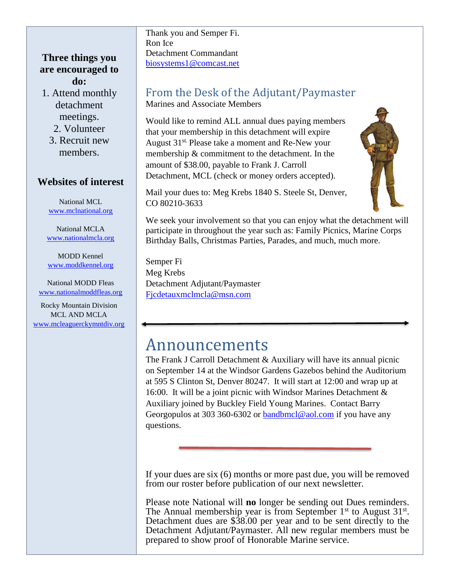### **Three things you are encouraged to do:**

- 1. Attend monthly detachment meetings.
	- 2. Volunteer
	- 3. Recruit new members.

#### **Websites of interest**

National MCL [www.mclnational.org](http://www.mclnational.org/)

National MCLA [www.nationalmcla.org](http://www.nationalmcla.org/)

MODD Kennel [www.moddkennel.org](http://www.moddkennel.org/)

National MODD Fleas [www.nationalmoddfleas.org](http://www.nationalmoddfleas.org/)

Rocky Mountain Division MCL AND MCLA [www.mcleaguerckymntdiv.org](http://www.mcleaguerckymntdiv.org/) Thank you and Semper Fi. Ron Ice Detachment Commandant [biosystems1@comcast.net](mailto:biosystems1@comcast.net)

### From the Desk of the Adjutant/Paymaster Marines and Associate Members

Would like to remind ALL annual dues paying members that your membership in this detachment will expire August 31st. Please take a moment and Re-New your membership & commitment to the detachment. In the amount of \$38.00, payable to Frank J. Carroll Detachment, MCL (check or money orders accepted).



Mail your dues to: Meg Krebs 1840 S. Steele St, Denver, CO 80210-3633

We seek your involvement so that you can enjoy what the detachment will participate in throughout the year such as: Family Picnics, Marine Corps Birthday Balls, Christmas Parties, Parades, and much, much more.

Semper Fi Meg Krebs Detachment Adjutant/Paymaster [Fjcdetauxmclmcla@msn.com](mailto:Fjcdetauxmclmcla@msn.com)

# Announcements

The Frank J Carroll Detachment & Auxiliary will have its annual picnic on September 14 at the Windsor Gardens Gazebos behind the Auditorium at 595 S Clinton St, Denver 80247. It will start at 12:00 and wrap up at 16:00. It will be a joint picnic with Windsor Marines Detachment & Auxiliary joined by Buckley Field Young Marines. Contact Barry Georgopulos at 303 360-6302 or [bandbmcl@aol.com](mailto:bandbmcl@aol.com) if you have any questions.

If your dues are six (6) months or more past due, you will be removed from our roster before publication of our next newsletter.

Please note National will **no** longer be sending out Dues reminders. The Annual membership year is from September  $1<sup>st</sup>$  to August  $31<sup>st</sup>$ . Detachment dues are \$38.00 per year and to be sent directly to the Detachment Adjutant/Paymaster. All new regular members must be prepared to show proof of Honorable Marine service.